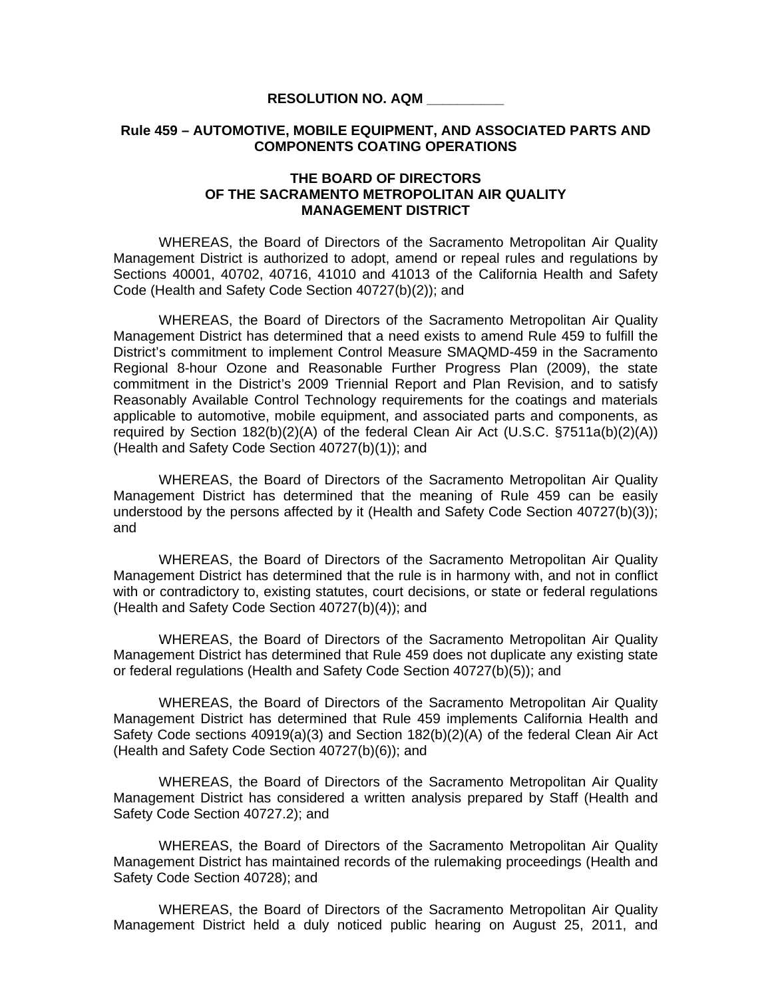## **RESOLUTION NO. AQM \_\_\_\_\_\_\_\_\_\_**

## **Rule 459 – AUTOMOTIVE, MOBILE EQUIPMENT, AND ASSOCIATED PARTS AND COMPONENTS COATING OPERATIONS**

## **THE BOARD OF DIRECTORS OF THE SACRAMENTO METROPOLITAN AIR QUALITY MANAGEMENT DISTRICT**

 WHEREAS, the Board of Directors of the Sacramento Metropolitan Air Quality Management District is authorized to adopt, amend or repeal rules and regulations by Sections 40001, 40702, 40716, 41010 and 41013 of the California Health and Safety Code (Health and Safety Code Section 40727(b)(2)); and

WHEREAS, the Board of Directors of the Sacramento Metropolitan Air Quality Management District has determined that a need exists to amend Rule 459 to fulfill the District's commitment to implement Control Measure SMAQMD-459 in the Sacramento Regional 8-hour Ozone and Reasonable Further Progress Plan (2009), the state commitment in the District's 2009 Triennial Report and Plan Revision, and to satisfy Reasonably Available Control Technology requirements for the coatings and materials applicable to automotive, mobile equipment, and associated parts and components, as required by Section 182(b)(2)(A) of the federal Clean Air Act (U.S.C. §7511a(b)(2)(A)) (Health and Safety Code Section 40727(b)(1)); and

 WHEREAS, the Board of Directors of the Sacramento Metropolitan Air Quality Management District has determined that the meaning of Rule 459 can be easily understood by the persons affected by it (Health and Safety Code Section 40727(b)(3)); and

 WHEREAS, the Board of Directors of the Sacramento Metropolitan Air Quality Management District has determined that the rule is in harmony with, and not in conflict with or contradictory to, existing statutes, court decisions, or state or federal regulations (Health and Safety Code Section 40727(b)(4)); and

 WHEREAS, the Board of Directors of the Sacramento Metropolitan Air Quality Management District has determined that Rule 459 does not duplicate any existing state or federal regulations (Health and Safety Code Section 40727(b)(5)); and

 WHEREAS, the Board of Directors of the Sacramento Metropolitan Air Quality Management District has determined that Rule 459 implements California Health and Safety Code sections 40919(a)(3) and Section 182(b)(2)(A) of the federal Clean Air Act (Health and Safety Code Section 40727(b)(6)); and

 WHEREAS, the Board of Directors of the Sacramento Metropolitan Air Quality Management District has considered a written analysis prepared by Staff (Health and Safety Code Section 40727.2); and

WHEREAS, the Board of Directors of the Sacramento Metropolitan Air Quality Management District has maintained records of the rulemaking proceedings (Health and Safety Code Section 40728); and

 WHEREAS, the Board of Directors of the Sacramento Metropolitan Air Quality Management District held a duly noticed public hearing on August 25, 2011, and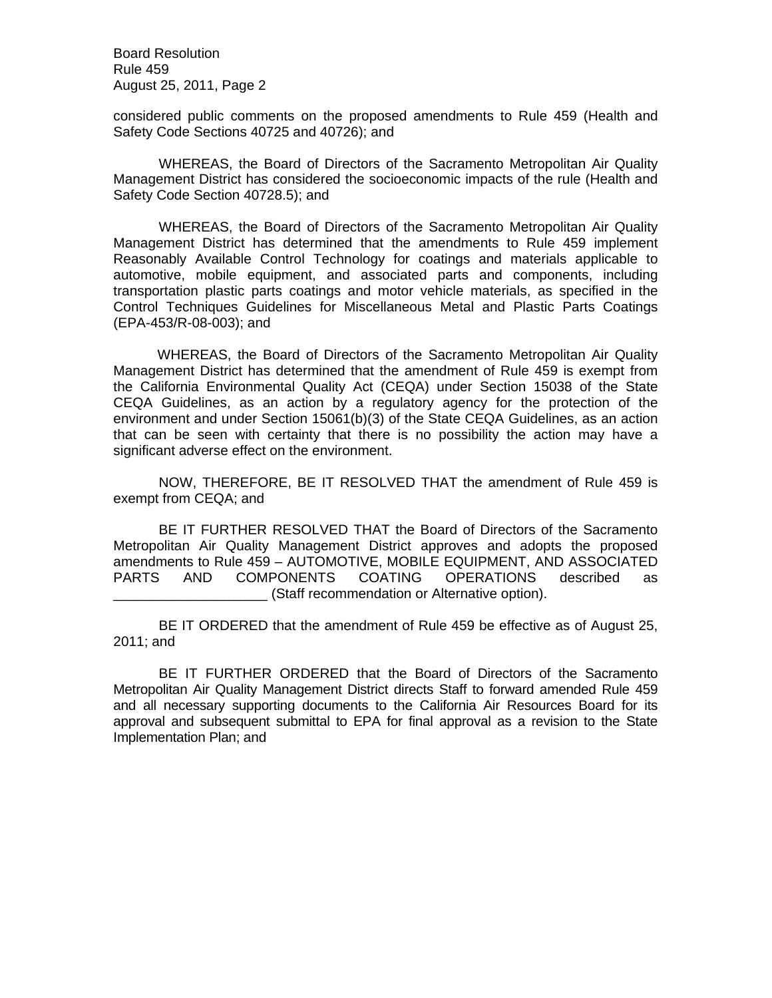Board Resolution Rule 459 August 25, 2011, Page 2

considered public comments on the proposed amendments to Rule 459 (Health and Safety Code Sections 40725 and 40726); and

 WHEREAS, the Board of Directors of the Sacramento Metropolitan Air Quality Management District has considered the socioeconomic impacts of the rule (Health and Safety Code Section 40728.5); and

 WHEREAS, the Board of Directors of the Sacramento Metropolitan Air Quality Management District has determined that the amendments to Rule 459 implement Reasonably Available Control Technology for coatings and materials applicable to automotive, mobile equipment, and associated parts and components, including transportation plastic parts coatings and motor vehicle materials, as specified in the Control Techniques Guidelines for Miscellaneous Metal and Plastic Parts Coatings (EPA-453/R-08-003); and

 WHEREAS, the Board of Directors of the Sacramento Metropolitan Air Quality Management District has determined that the amendment of Rule 459 is exempt from the California Environmental Quality Act (CEQA) under Section 15038 of the State CEQA Guidelines, as an action by a regulatory agency for the protection of the environment and under Section 15061(b)(3) of the State CEQA Guidelines, as an action that can be seen with certainty that there is no possibility the action may have a significant adverse effect on the environment.

NOW, THEREFORE, BE IT RESOLVED THAT the amendment of Rule 459 is exempt from CEQA; and

BE IT FURTHER RESOLVED THAT the Board of Directors of the Sacramento Metropolitan Air Quality Management District approves and adopts the proposed amendments to Rule 459 – AUTOMOTIVE, MOBILE EQUIPMENT, AND ASSOCIATED PARTS AND COMPONENTS COATING OPERATIONS described as \_\_\_\_\_\_\_\_\_\_\_\_\_\_\_\_\_\_\_\_ (Staff recommendation or Alternative option).

BE IT ORDERED that the amendment of Rule 459 be effective as of August 25, 2011; and

BE IT FURTHER ORDERED that the Board of Directors of the Sacramento Metropolitan Air Quality Management District directs Staff to forward amended Rule 459 and all necessary supporting documents to the California Air Resources Board for its approval and subsequent submittal to EPA for final approval as a revision to the State Implementation Plan; and